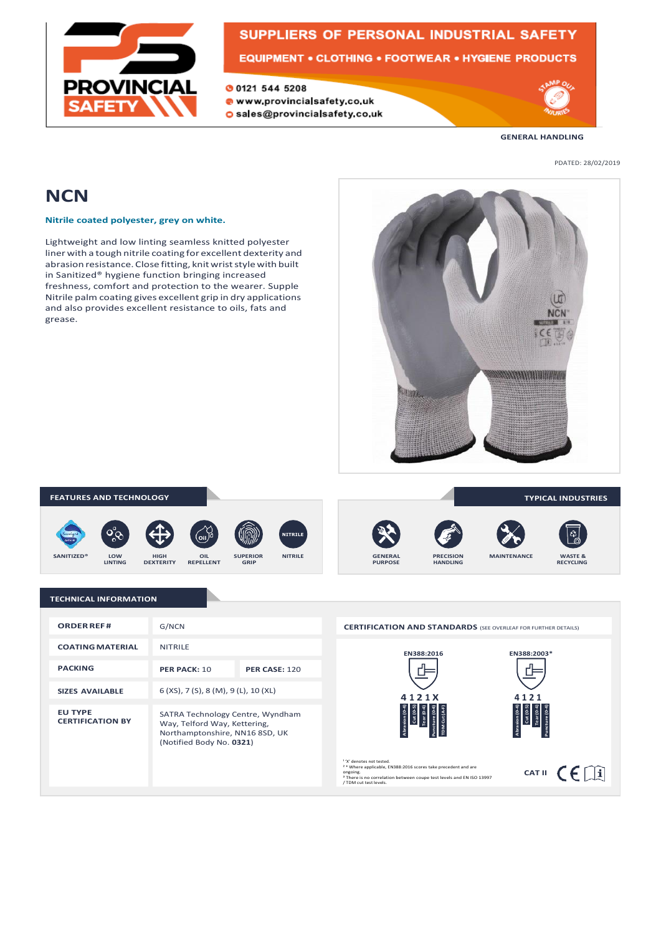

## SUPPLIERS OF PERSONAL INDUSTRIAL SAFETY

**EQUIPMENT • CLOTHING • FOOTWEAR • HYGIENE PRODUCTS** 

**00121 544 5208** 

· www.provincialsafety.co.uk O sales@provincialsafety.co.uk



**GENERAL HANDLING**

PDATED: 28/02/2019

### **NCN**

**Nitrile coated polyester, grey on white.**

Lightweight and low linting seamless knitted polyester liner with a tough nitrile coating for excellent dexterity and abrasion resistance. Close fitting, knitwriststylewith built in Sanitized® hygiene function bringing increased freshness, comfort and protection to the wearer. Supple Nitrile palm coating gives excellent grip in dry applications and also provides excellent resistance to oils, fats and grease.



### **FEATURES AND TECHNOLOGY**

















**TYPICAL INDUSTRIES**

### **TECHNICAL INFORMATION**

| <b>ORDER REF#</b>                         | G/NCN                                                                                                                          |                      |
|-------------------------------------------|--------------------------------------------------------------------------------------------------------------------------------|----------------------|
| <b>COATING MATERIAL</b>                   | <b>NITRILF</b>                                                                                                                 |                      |
| <b>PACKING</b>                            | PER PACK: 10                                                                                                                   | <b>PER CASE: 120</b> |
| <b>SIZES AVAILABLE</b>                    | 6 (XS), 7 (S), 8 (M), 9 (L), 10 (XL)                                                                                           |                      |
| <b>EU TYPE</b><br><b>CERTIFICATION BY</b> | SATRA Technology Centre, Wyndham<br>Way, Telford Way, Kettering,<br>Northamptonshire, NN16 8SD, UK<br>(Notified Body No. 0321) |                      |